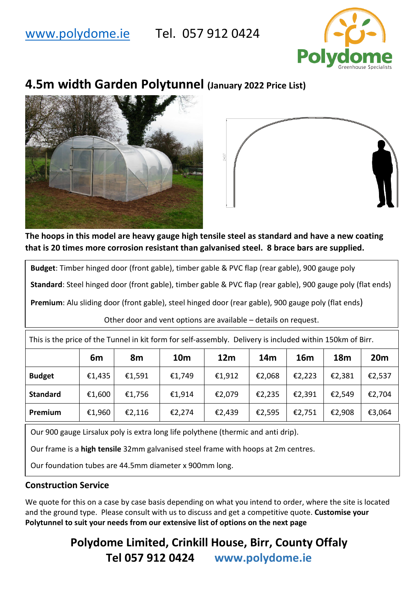# [www.polydome.ie](http://www.polydome.ie/) Tel. 057 912 0424



# **4.5m width Garden Polytunnel (January 2022 Price List)**





**The hoops in this model are heavy gauge high tensile steel as standard and have a new coating that is 20 times more corrosion resistant than galvanised steel. 8 brace bars are supplied.** 

**Budget**: Timber hinged door (front gable), timber gable & PVC flap (rear gable), 900 gauge poly

**Standard**: Steel hinged door (front gable), timber gable & PVC flap (rear gable), 900 gauge poly (flat ends)

**Premium**: Alu sliding door (front gable), steel hinged door (rear gable), 900 gauge poly (flat ends)

Other door and vent options are available – details on request.

This is the price of the Tunnel in kit form for self-assembly. Delivery is included within 150km of Birr.

|                 | 6m     | 8m     | <b>10m</b> | 12 <sub>m</sub> | 14m    | 16m    | <b>18m</b> | 20 <sub>m</sub> |
|-----------------|--------|--------|------------|-----------------|--------|--------|------------|-----------------|
| <b>Budget</b>   | €1,435 | €1,591 | €1,749     | €1,912          | €2,068 | €2,223 | €2,381     | €2,537          |
| <b>Standard</b> | €1,600 | €1,756 | €1,914     | €2,079          | €2,235 | €2,391 | €2,549     | €2,704          |
| Premium         | €1,960 | €2,116 | €2,274     | €2,439          | €2,595 | €2,751 | €2,908     | €3,064          |

Our 900 gauge Lirsalux poly is extra long life polythene (thermic and anti drip).

Our frame is a **high tensile** 32mm galvanised steel frame with hoops at 2m centres.

Our foundation tubes are 44.5mm diameter x 900mm long.

## **Construction Service**

We quote for this on a case by case basis depending on what you intend to order, where the site is located and the ground type. Please consult with us to discuss and get a competitive quote. **Customise your Polytunnel to suit your needs from our extensive list of options on the next page**

> **Polydome Limited, Crinkill House, Birr, County Offaly Tel 057 912 0424 www.polydome.ie**